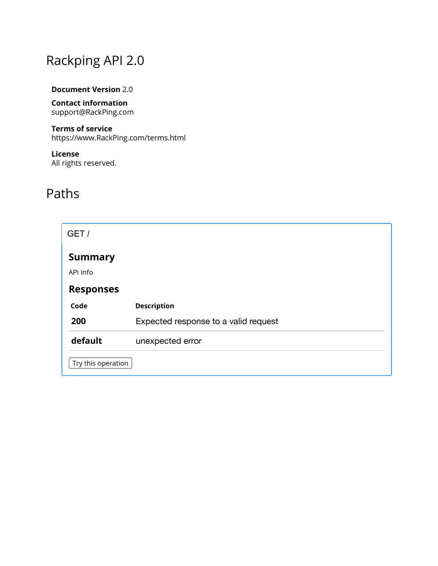# Rackping API 2.0

#### **Document Version** 2.0

**Contact information** support@RackPing.com

#### **Terms of service**

https://www.RackPing.com/terms.html

#### **License** All rights reserved.

# Paths

| GET /              |                                      |
|--------------------|--------------------------------------|
| <b>Summary</b>     |                                      |
| API Info           |                                      |
| <b>Responses</b>   |                                      |
| Code               | <b>Description</b>                   |
| 200                | Expected response to a valid request |
| default            | unexpected error                     |
| Try this operation |                                      |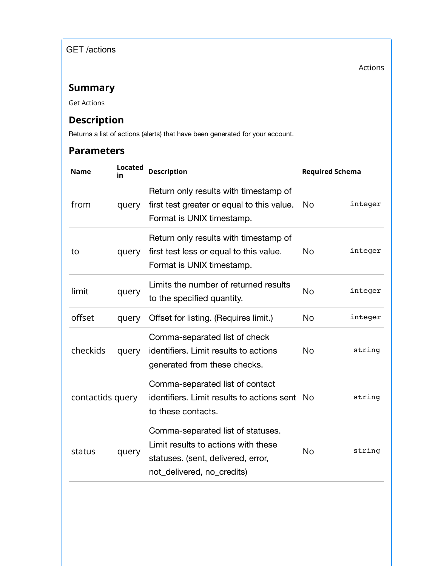GET /actions

Actions

# **Summary**

Get Actions

# **Description**

Returns a list of actions (alerts) that have been generated for your account.

| <b>Name</b>      | <b>Located</b><br>in | <b>Description</b>                                                                                                                           | <b>Required Schema</b> |         |
|------------------|----------------------|----------------------------------------------------------------------------------------------------------------------------------------------|------------------------|---------|
| from             | query                | Return only results with timestamp of<br>first test greater or equal to this value.<br>Format is UNIX timestamp.                             | <b>No</b>              | integer |
| to               | query                | Return only results with timestamp of<br>first test less or equal to this value.<br>Format is UNIX timestamp.                                | No                     | integer |
| limit            | query                | Limits the number of returned results<br>to the specified quantity.                                                                          | No                     | integer |
| offset           | query                | Offset for listing. (Requires limit.)                                                                                                        | No                     | integer |
| checkids         | query                | Comma-separated list of check<br>identifiers. Limit results to actions<br>generated from these checks.                                       | <b>No</b>              | string  |
| contactids query |                      | Comma-separated list of contact<br>identifiers. Limit results to actions sent No<br>to these contacts.                                       |                        | string  |
| status           | query                | Comma-separated list of statuses.<br>Limit results to actions with these<br>statuses. (sent, delivered, error,<br>not_delivered, no_credits) | <b>No</b>              | string  |
|                  |                      |                                                                                                                                              |                        |         |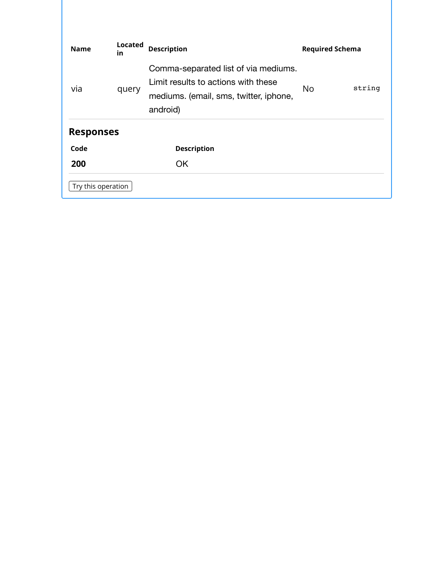| <b>Name</b>        | <b>Located</b><br><b>in</b> | <b>Description</b>                                                                                                                | <b>Required Schema</b> |        |
|--------------------|-----------------------------|-----------------------------------------------------------------------------------------------------------------------------------|------------------------|--------|
| via                | query                       | Comma-separated list of via mediums.<br>Limit results to actions with these<br>mediums. (email, sms, twitter, iphone,<br>android) | <b>No</b>              | string |
| <b>Responses</b>   |                             |                                                                                                                                   |                        |        |
| Code               |                             | <b>Description</b>                                                                                                                |                        |        |
| 200                |                             | <b>OK</b>                                                                                                                         |                        |        |
| Try this operation |                             |                                                                                                                                   |                        |        |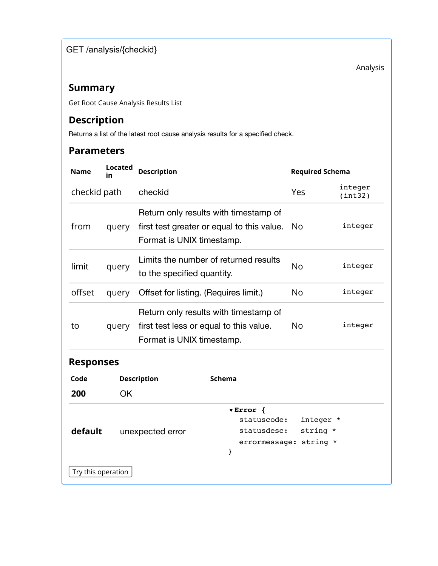GET /analysis/{checkid}

Analysis

### **Summary**

Get Root Cause Analysis Results List

# **Description**

Returns a list of the latest root cause analysis results for a specified check.

| <b>Name</b>      | <b>Located</b><br>in | <b>Description</b>                                                                                               | <b>Required Schema</b>            |                    |  |  |
|------------------|----------------------|------------------------------------------------------------------------------------------------------------------|-----------------------------------|--------------------|--|--|
| checkid path     |                      | checkid                                                                                                          | Yes                               | integer<br>(int32) |  |  |
| from             | query                | Return only results with timestamp of<br>first test greater or equal to this value.<br>Format is UNIX timestamp. | <b>No</b>                         | integer            |  |  |
| limit            | query                | Limits the number of returned results<br>to the specified quantity.                                              | <b>No</b>                         | integer            |  |  |
| offset           | query                | Offset for listing. (Requires limit.)                                                                            | N <sub>o</sub>                    | integer            |  |  |
| to               | query                | Return only results with timestamp of<br>first test less or equal to this value.<br>Format is UNIX timestamp.    | No                                | integer            |  |  |
| <b>Responses</b> |                      |                                                                                                                  |                                   |                    |  |  |
| Code             |                      | <b>Description</b><br><b>Schema</b>                                                                              |                                   |                    |  |  |
| 200              | <b>OK</b>            |                                                                                                                  |                                   |                    |  |  |
| default          |                      | $\sqrt{Error}$ {<br>statuscode:<br>statusdesc:<br>unexpected error<br>errormessage:<br>}                         | integer *<br>string *<br>string * |                    |  |  |
|                  | Try this operation   |                                                                                                                  |                                   |                    |  |  |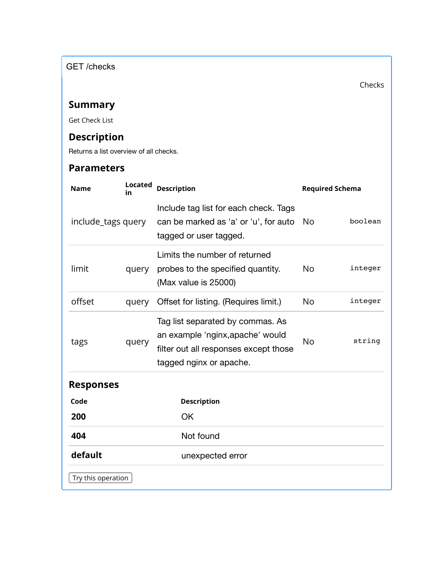GET /checks

Checks

# **Summary**

Get Check List

# **Description**

Returns a list overview of all checks.

| <b>Name</b>        | <b>Located</b><br><b>Description</b><br>in |                                                                                                                                          | <b>Required Schema</b> |         |
|--------------------|--------------------------------------------|------------------------------------------------------------------------------------------------------------------------------------------|------------------------|---------|
| include_tags query |                                            | Include tag list for each check. Tags<br>can be marked as 'a' or 'u', for auto<br>tagged or user tagged.                                 | <b>No</b>              | boolean |
| limit              | query                                      | Limits the number of returned<br>probes to the specified quantity.<br>(Max value is 25000)                                               | <b>No</b>              | integer |
| offset             | query                                      | Offset for listing. (Requires limit.)                                                                                                    | <b>No</b>              | integer |
| tags<br>query      |                                            | Tag list separated by commas. As<br>an example 'nginx, apache' would<br>filter out all responses except those<br>tagged nginx or apache. | <b>No</b>              | string  |
| <b>Responses</b>   |                                            |                                                                                                                                          |                        |         |
| Code               |                                            | <b>Description</b>                                                                                                                       |                        |         |
| 200                |                                            | <b>OK</b>                                                                                                                                |                        |         |
| 404                |                                            | Not found                                                                                                                                |                        |         |
| default            |                                            | unexpected error                                                                                                                         |                        |         |
| Try this operation |                                            |                                                                                                                                          |                        |         |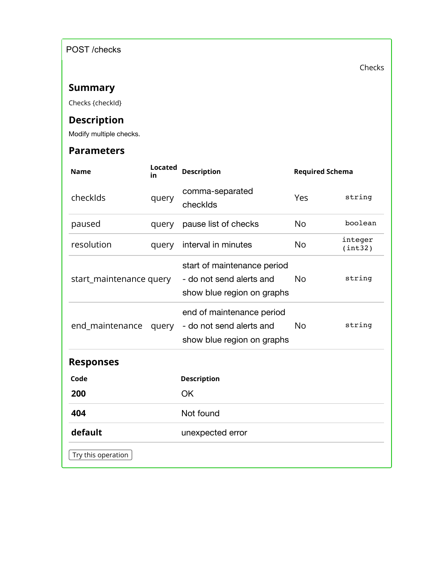POST /checks

Checks

# **Summary**

Checks {checkId}

# **Description**

Modify multiple checks.

| <b>Name</b>             | <b>Located</b><br>in | <b>Description</b>                                                                    | <b>Required Schema</b> |                    |
|-------------------------|----------------------|---------------------------------------------------------------------------------------|------------------------|--------------------|
| checkIds                | query                | comma-separated<br>checkIds                                                           | Yes                    | string             |
| paused                  | query                | pause list of checks                                                                  | <b>No</b>              | boolean            |
| resolution              | query                | interval in minutes                                                                   | <b>No</b>              | integer<br>(int32) |
| start_maintenance query |                      | start of maintenance period<br>- do not send alerts and<br>show blue region on graphs | <b>No</b>              | string             |
| end_maintenance         | query                | end of maintenance period<br>- do not send alerts and<br>show blue region on graphs   | <b>No</b>              | string             |
| <b>Responses</b>        |                      |                                                                                       |                        |                    |
| Code                    |                      | <b>Description</b>                                                                    |                        |                    |
| 200                     |                      | OK                                                                                    |                        |                    |
| 404                     |                      | Not found                                                                             |                        |                    |
| default                 |                      | unexpected error                                                                      |                        |                    |
| Try this operation      |                      |                                                                                       |                        |                    |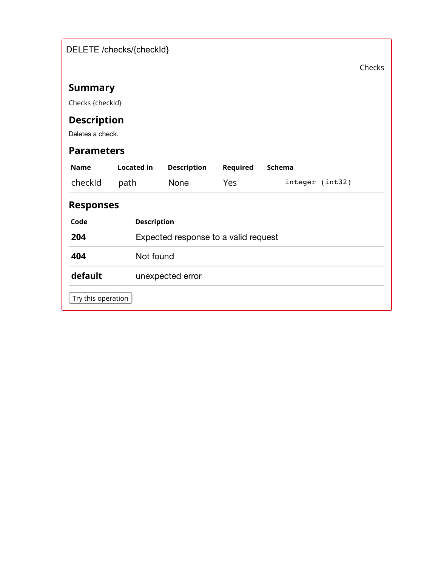|                    | DELETE /checks/{checkId} |                                      |          |                 |        |
|--------------------|--------------------------|--------------------------------------|----------|-----------------|--------|
|                    |                          |                                      |          |                 | Checks |
| <b>Summary</b>     |                          |                                      |          |                 |        |
| Checks {checkId}   |                          |                                      |          |                 |        |
| <b>Description</b> |                          |                                      |          |                 |        |
| Deletes a check.   |                          |                                      |          |                 |        |
| <b>Parameters</b>  |                          |                                      |          |                 |        |
| <b>Name</b>        | <b>Located in</b>        | <b>Description</b>                   | Required | Schema          |        |
| checkId            | path                     | None                                 | Yes      | integer (int32) |        |
| <b>Responses</b>   |                          |                                      |          |                 |        |
| Code               | <b>Description</b>       |                                      |          |                 |        |
| 204                |                          | Expected response to a valid request |          |                 |        |
| 404                | Not found                |                                      |          |                 |        |
| default            |                          | unexpected error                     |          |                 |        |
| Try this operation |                          |                                      |          |                 |        |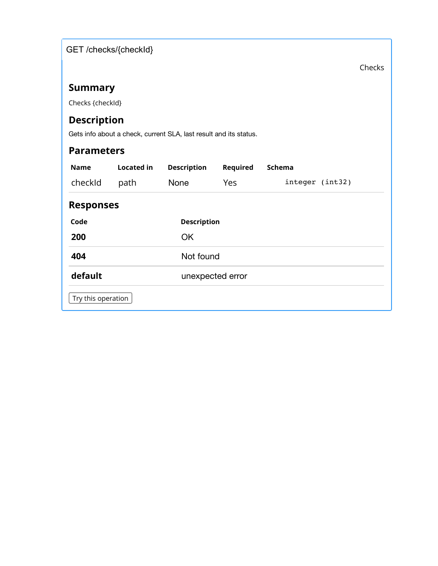GET /checks/{checkId}

Checks

# **Summary**

Checks {checkId}

# **Description**

Gets info about a check, current SLA, last result and its status.

| <b>Parameters</b>  |            |                    |          |                 |  |  |
|--------------------|------------|--------------------|----------|-----------------|--|--|
| <b>Name</b>        | Located in | <b>Description</b> | Required | Schema          |  |  |
| checkId            | path       | <b>None</b>        | Yes      | integer (int32) |  |  |
| <b>Responses</b>   |            |                    |          |                 |  |  |
| Code               |            | <b>Description</b> |          |                 |  |  |
| 200                |            | <b>OK</b>          |          |                 |  |  |
| 404                |            | Not found          |          |                 |  |  |
| default            |            | unexpected error   |          |                 |  |  |
| Try this operation |            |                    |          |                 |  |  |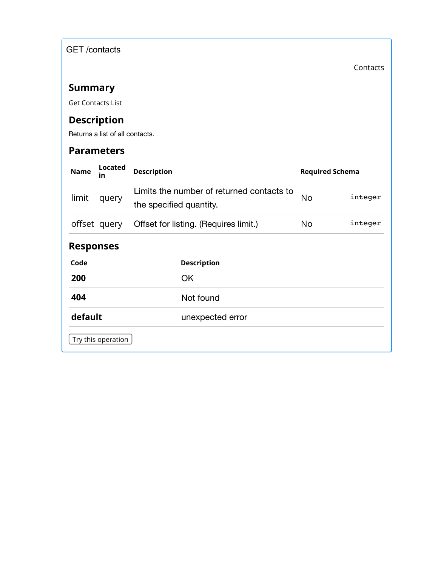GET /contacts

Contacts

# **Summary**

Get Contacts List

# **Description**

Returns a list of all contacts.

| <b>Name</b>      | <b>Located</b><br>in | <b>Description</b>                                                   | <b>Required Schema</b> |         |
|------------------|----------------------|----------------------------------------------------------------------|------------------------|---------|
| limit            | query                | Limits the number of returned contacts to<br>the specified quantity. | No                     | integer |
|                  | offset query         | Offset for listing. (Requires limit.)                                | No.                    | integer |
| <b>Responses</b> |                      |                                                                      |                        |         |
| Code             |                      | <b>Description</b>                                                   |                        |         |
| 200              |                      | <b>OK</b>                                                            |                        |         |
| 404              |                      | Not found                                                            |                        |         |
| default          |                      | unexpected error                                                     |                        |         |
|                  | Try this operation   |                                                                      |                        |         |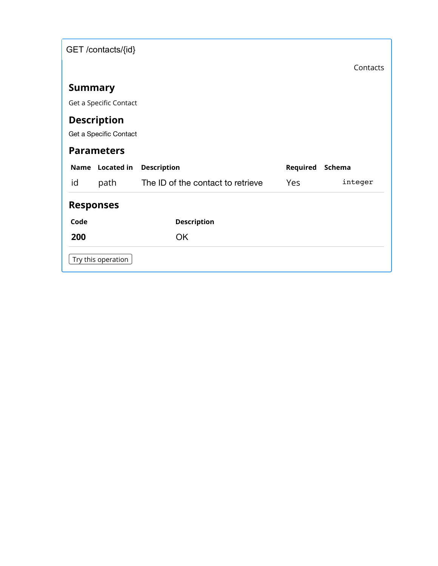|                | GET /contacts/{id}                           |                                   |          |          |
|----------------|----------------------------------------------|-----------------------------------|----------|----------|
|                |                                              |                                   |          | Contacts |
| <b>Summary</b> |                                              |                                   |          |          |
|                | Get a Specific Contact                       |                                   |          |          |
|                | <b>Description</b><br>Get a Specific Contact |                                   |          |          |
|                | <b>Parameters</b>                            |                                   |          |          |
|                |                                              |                                   |          |          |
| <b>Name</b>    | <b>Located in</b>                            | <b>Description</b>                | Required | Schema   |
| id             | path                                         | The ID of the contact to retrieve | Yes      | integer  |
|                | <b>Responses</b>                             |                                   |          |          |
| Code           |                                              | <b>Description</b>                |          |          |
| 200            |                                              | <b>OK</b>                         |          |          |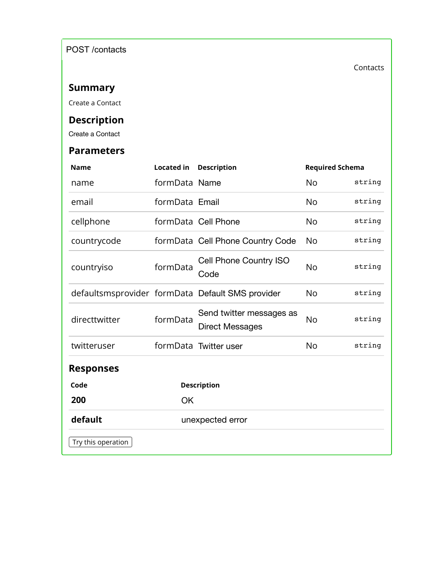POST /contacts

Contacts

# **Summary**

Create a Contact

# **Description**

Create a Contact

| <b>Name</b>        | <b>Located in</b> | <b>Description</b>                                 | <b>Required Schema</b> |        |
|--------------------|-------------------|----------------------------------------------------|------------------------|--------|
| name               | formData Name     |                                                    | No                     | string |
| email              | formData Email    |                                                    | <b>No</b>              | string |
| cellphone          |                   | formData Cell Phone                                | <b>No</b>              | string |
| countrycode        |                   | formData Cell Phone Country Code                   | <b>No</b>              | string |
| countryiso         | formData          | Cell Phone Country ISO<br>Code                     | <b>No</b>              | string |
|                    |                   | defaultsmsprovider formData Default SMS provider   | <b>No</b>              | string |
| directtwitter      | formData          | Send twitter messages as<br><b>Direct Messages</b> | <b>No</b>              | string |
| twitteruser        |                   | formData Twitter user                              | <b>No</b>              | string |
| <b>Responses</b>   |                   |                                                    |                        |        |
| Code               |                   | <b>Description</b>                                 |                        |        |
| 200                | OK                |                                                    |                        |        |
| default            |                   | unexpected error                                   |                        |        |
| Try this operation |                   |                                                    |                        |        |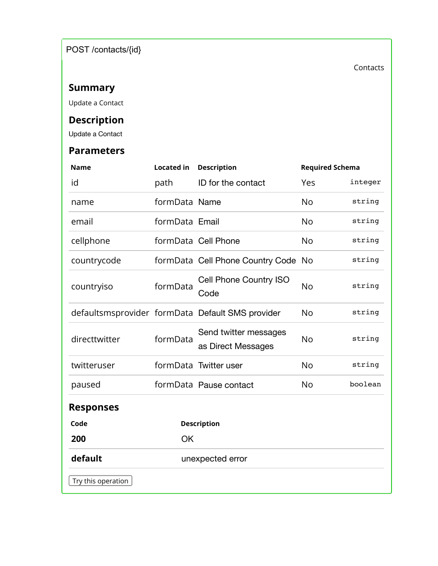POST /contacts/{id}

Contacts

# **Summary**

Update a Contact

# **Description**

Update a Contact

| <b>Name</b>        | <b>Located in</b> | <b>Description</b>                               | <b>Required Schema</b> |         |
|--------------------|-------------------|--------------------------------------------------|------------------------|---------|
| id                 | path              | ID for the contact                               | Yes                    | integer |
| name               | formData Name     |                                                  | <b>No</b>              | string  |
| email              | formData Email    |                                                  | <b>No</b>              | string  |
| cellphone          |                   | formData Cell Phone                              | <b>No</b>              | string  |
| countrycode        |                   | formData Cell Phone Country Code No              |                        | string  |
| countryiso         | formData          | Cell Phone Country ISO<br>Code                   | <b>No</b>              | string  |
|                    |                   | defaultsmsprovider formData Default SMS provider | <b>No</b>              | string  |
| directtwitter      | formData          | Send twitter messages<br>as Direct Messages      | <b>No</b>              | string  |
| twitteruser        |                   | formData Twitter user                            | <b>No</b>              | string  |
| paused             |                   | formData Pause contact                           | <b>No</b>              | boolean |
| <b>Responses</b>   |                   |                                                  |                        |         |
| Code               |                   | <b>Description</b>                               |                        |         |
| 200                | <b>OK</b>         |                                                  |                        |         |
| default            |                   | unexpected error                                 |                        |         |
| Try this operation |                   |                                                  |                        |         |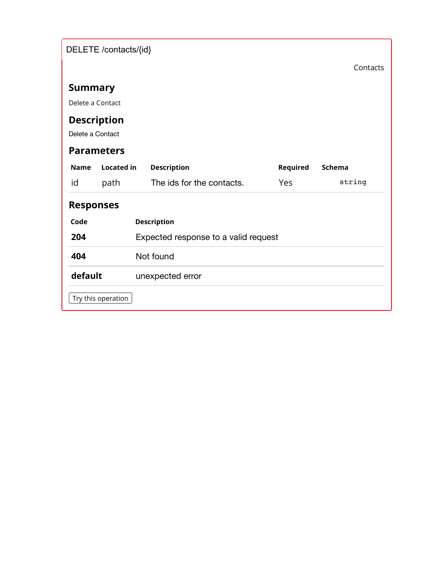| DELETE /contacts/{id}       |                    |                                      |          |          |  |  |  |  |
|-----------------------------|--------------------|--------------------------------------|----------|----------|--|--|--|--|
|                             |                    |                                      |          | Contacts |  |  |  |  |
| <b>Summary</b>              |                    |                                      |          |          |  |  |  |  |
| Delete a Contact            |                    |                                      |          |          |  |  |  |  |
| <b>Description</b>          |                    |                                      |          |          |  |  |  |  |
| Delete a Contact            |                    |                                      |          |          |  |  |  |  |
|                             | <b>Parameters</b>  |                                      |          |          |  |  |  |  |
| <b>Name</b>                 | <b>Located in</b>  | <b>Description</b>                   | Required | Schema   |  |  |  |  |
| id                          | path               | The ids for the contacts.            | Yes      | string   |  |  |  |  |
| <b>Responses</b>            |                    |                                      |          |          |  |  |  |  |
| Code                        |                    | <b>Description</b>                   |          |          |  |  |  |  |
| 204                         |                    | Expected response to a valid request |          |          |  |  |  |  |
| 404<br>Not found            |                    |                                      |          |          |  |  |  |  |
| default<br>unexpected error |                    |                                      |          |          |  |  |  |  |
|                             | Try this operation |                                      |          |          |  |  |  |  |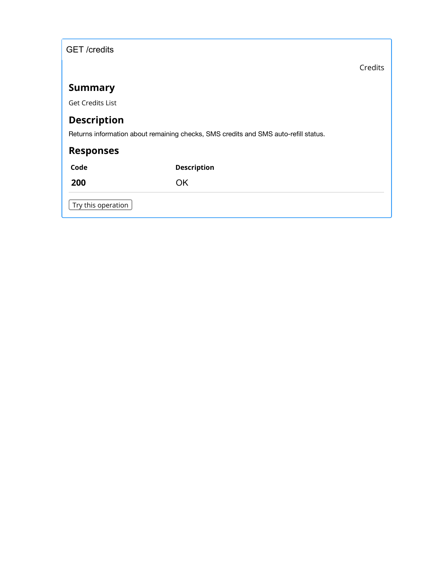| <b>GET</b> /credits |  |
|---------------------|--|
|---------------------|--|

Credits

### **Summary**

Get Credits List

# **Description**

Returns information about remaining checks, SMS credits and SMS auto-refill status.

# **Responses**

**Code Description**

**200** OK

Try this operation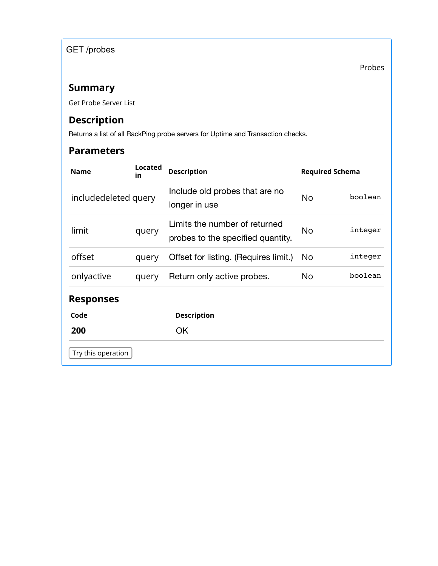GET /probes

Probes

# **Summary**

Get Probe Server List

# **Description**

Returns a list of all RackPing probe servers for Uptime and Transaction checks.

| Located<br><b>Name</b><br>in |       | <b>Description</b>                                                 | <b>Required Schema</b> |         |  |
|------------------------------|-------|--------------------------------------------------------------------|------------------------|---------|--|
| includedeleted query         |       | Include old probes that are no<br>longer in use                    | No.                    | boolean |  |
| limit                        | query | Limits the number of returned<br>probes to the specified quantity. | No                     | integer |  |
| offset                       | query | Offset for listing. (Requires limit.)                              | No                     | integer |  |
| onlyactive                   | query | Return only active probes.                                         | No                     | boolean |  |
| <b>Responses</b>             |       |                                                                    |                        |         |  |
| Code                         |       | <b>Description</b>                                                 |                        |         |  |
| 200                          |       | <b>OK</b>                                                          |                        |         |  |
| Try this operation           |       |                                                                    |                        |         |  |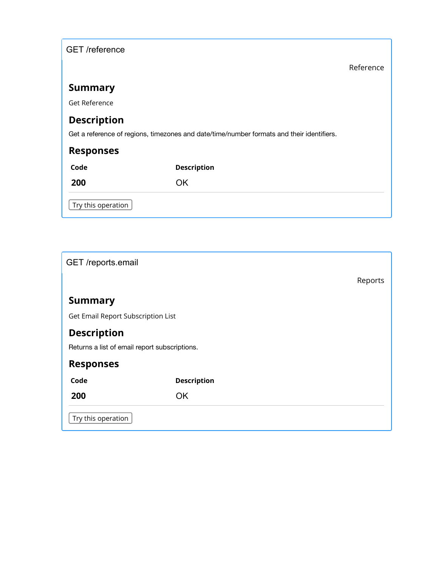| <b>GET</b> /reference |  |  |  |
|-----------------------|--|--|--|
|-----------------------|--|--|--|

Reference

# **Summary**

Get Reference

# **Description**

Get a reference of regions, timezones and date/time/number formats and their identifiers.

| <b>Responses</b>   |                    |
|--------------------|--------------------|
| Code               | <b>Description</b> |
| 200                | ΟK                 |
| Try this operation |                    |

| GET /reports.email                            |                    |  |  |         |  |  |
|-----------------------------------------------|--------------------|--|--|---------|--|--|
|                                               |                    |  |  | Reports |  |  |
| <b>Summary</b>                                |                    |  |  |         |  |  |
| Get Email Report Subscription List            |                    |  |  |         |  |  |
| <b>Description</b>                            |                    |  |  |         |  |  |
| Returns a list of email report subscriptions. |                    |  |  |         |  |  |
| <b>Responses</b>                              |                    |  |  |         |  |  |
| Code                                          | <b>Description</b> |  |  |         |  |  |
| 200                                           | <b>OK</b>          |  |  |         |  |  |
| Try this operation                            |                    |  |  |         |  |  |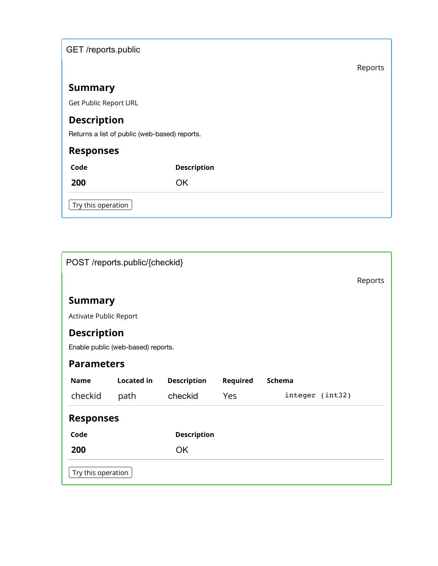| GET /reports.public |  |
|---------------------|--|
|                     |  |

Reports

# **Summary**

Get Public Report URL

# **Description**

Returns a list of public (web-based) reports.

# **Responses**

| Code                               | <b>Description</b> |
|------------------------------------|--------------------|
| 200                                | OK                 |
| $\vert$ Try this operation $\vert$ |                    |

| POST /reports.public/{checkid}                           |                    |                    |          |        |                 |  |  |  |
|----------------------------------------------------------|--------------------|--------------------|----------|--------|-----------------|--|--|--|
|                                                          |                    |                    |          |        |                 |  |  |  |
| <b>Summary</b>                                           |                    |                    |          |        |                 |  |  |  |
| Activate Public Report                                   |                    |                    |          |        |                 |  |  |  |
| <b>Description</b><br>Enable public (web-based) reports. |                    |                    |          |        |                 |  |  |  |
| <b>Parameters</b>                                        |                    |                    |          |        |                 |  |  |  |
| <b>Name</b>                                              | <b>Located in</b>  | <b>Description</b> | Required | Schema |                 |  |  |  |
| checkid                                                  | path               | checkid            | Yes      |        | integer (int32) |  |  |  |
| <b>Responses</b>                                         |                    |                    |          |        |                 |  |  |  |
| Code                                                     |                    | <b>Description</b> |          |        |                 |  |  |  |
| 200                                                      |                    | <b>OK</b>          |          |        |                 |  |  |  |
|                                                          | Try this operation |                    |          |        |                 |  |  |  |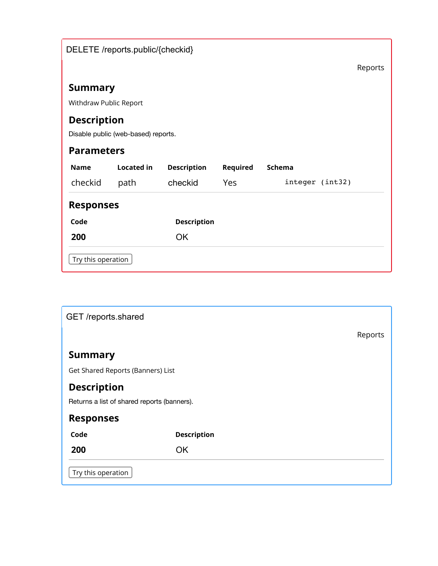| DELETE /reports.public/{checkid} |                                                           |                    |          |        |                 |         |  |  |  |
|----------------------------------|-----------------------------------------------------------|--------------------|----------|--------|-----------------|---------|--|--|--|
|                                  |                                                           |                    |          |        |                 | Reports |  |  |  |
| <b>Summary</b>                   |                                                           |                    |          |        |                 |         |  |  |  |
|                                  | Withdraw Public Report                                    |                    |          |        |                 |         |  |  |  |
|                                  | <b>Description</b><br>Disable public (web-based) reports. |                    |          |        |                 |         |  |  |  |
|                                  | <b>Parameters</b>                                         |                    |          |        |                 |         |  |  |  |
| <b>Name</b>                      | <b>Located in</b>                                         | <b>Description</b> | Required | Schema |                 |         |  |  |  |
| checkid                          | path                                                      | checkid            | Yes      |        | integer (int32) |         |  |  |  |
| <b>Responses</b>                 |                                                           |                    |          |        |                 |         |  |  |  |
| Code                             |                                                           | <b>Description</b> |          |        |                 |         |  |  |  |
| 200                              |                                                           | <b>OK</b>          |          |        |                 |         |  |  |  |
| Try this operation               |                                                           |                    |          |        |                 |         |  |  |  |

| GET /reports.shared                         |                    |         |  |  |  |  |
|---------------------------------------------|--------------------|---------|--|--|--|--|
|                                             |                    | Reports |  |  |  |  |
| <b>Summary</b>                              |                    |         |  |  |  |  |
| Get Shared Reports (Banners) List           |                    |         |  |  |  |  |
| <b>Description</b>                          |                    |         |  |  |  |  |
| Returns a list of shared reports (banners). |                    |         |  |  |  |  |
| <b>Responses</b>                            |                    |         |  |  |  |  |
| Code                                        | <b>Description</b> |         |  |  |  |  |
| 200                                         | <b>OK</b>          |         |  |  |  |  |
| Try this operation                          |                    |         |  |  |  |  |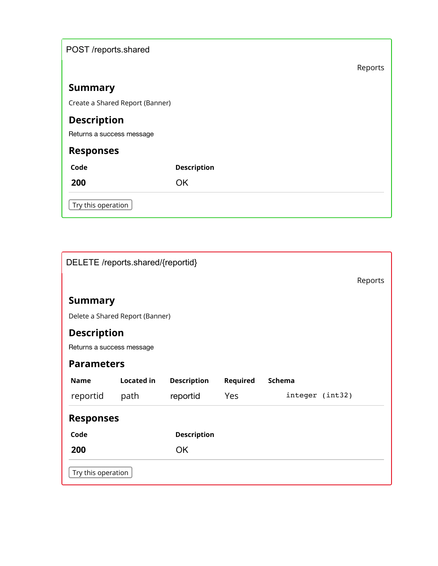| POST /reports.shared            |                    |  |  |         |  |  |
|---------------------------------|--------------------|--|--|---------|--|--|
|                                 |                    |  |  | Reports |  |  |
| <b>Summary</b>                  |                    |  |  |         |  |  |
| Create a Shared Report (Banner) |                    |  |  |         |  |  |
| <b>Description</b>              |                    |  |  |         |  |  |
| Returns a success message       |                    |  |  |         |  |  |
| <b>Responses</b>                |                    |  |  |         |  |  |
| Code                            | <b>Description</b> |  |  |         |  |  |
| 200                             | <b>OK</b>          |  |  |         |  |  |
| Try this operation              |                    |  |  |         |  |  |

| DELETE /reports.shared/{reportid} |                   |                    |          |        |                 |  |
|-----------------------------------|-------------------|--------------------|----------|--------|-----------------|--|
|                                   |                   |                    |          |        |                 |  |
| <b>Summary</b>                    |                   |                    |          |        |                 |  |
| Delete a Shared Report (Banner)   |                   |                    |          |        |                 |  |
| <b>Description</b>                |                   |                    |          |        |                 |  |
| Returns a success message         |                   |                    |          |        |                 |  |
| <b>Parameters</b>                 |                   |                    |          |        |                 |  |
| <b>Name</b>                       | <b>Located in</b> | <b>Description</b> | Required | Schema |                 |  |
| reportid                          | path              | reportid           | Yes      |        | integer (int32) |  |
| <b>Responses</b>                  |                   |                    |          |        |                 |  |
| Code                              |                   | <b>Description</b> |          |        |                 |  |
| 200                               |                   | <b>OK</b>          |          |        |                 |  |
| Try this operation                |                   |                    |          |        |                 |  |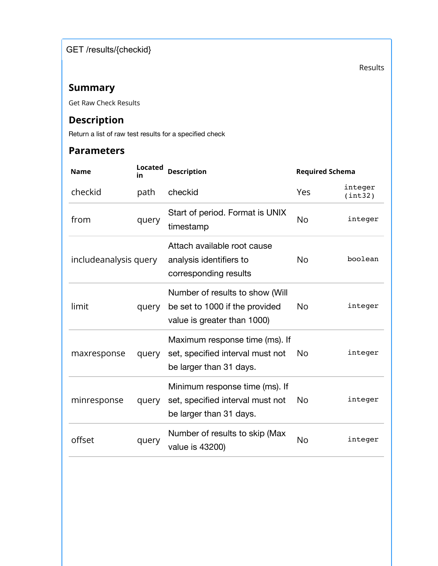GET /results/{checkid}

Results

# **Summary**

Get Raw Check Results

# **Description**

Return a list of raw test results for a specified check

| <b>Name</b>           | <b>Located</b><br>in | <b>Description</b>                                                                               | <b>Required Schema</b> |                    |
|-----------------------|----------------------|--------------------------------------------------------------------------------------------------|------------------------|--------------------|
| checkid               | path                 | checkid                                                                                          | Yes                    | integer<br>(int32) |
| from                  | query                | Start of period. Format is UNIX<br>timestamp                                                     | <b>No</b>              | integer            |
| includeanalysis query |                      | Attach available root cause<br>analysis identifiers to<br>corresponding results                  | <b>No</b>              | boolean            |
| limit                 | query                | Number of results to show (Will<br>be set to 1000 if the provided<br>value is greater than 1000) | <b>No</b>              | integer            |
| maxresponse           | query                | Maximum response time (ms). If<br>set, specified interval must not<br>be larger than 31 days.    | <b>No</b>              | integer            |
| minresponse           | query                | Minimum response time (ms). If<br>set, specified interval must not<br>be larger than 31 days.    | N <sub>o</sub>         | integer            |
| offset                | query                | Number of results to skip (Max<br>value is 43200)                                                | No                     | integer            |
|                       |                      |                                                                                                  |                        |                    |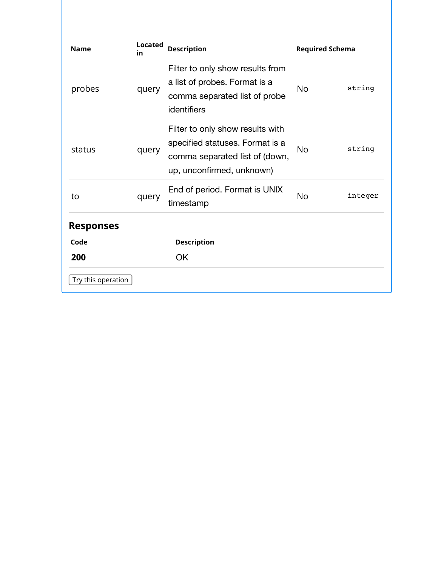| <b>Name</b>        | <b>Located</b><br>in | <b>Description</b>                                                                                                                 | <b>Required Schema</b> |         |
|--------------------|----------------------|------------------------------------------------------------------------------------------------------------------------------------|------------------------|---------|
| probes             | query                | Filter to only show results from<br>a list of probes. Format is a<br>comma separated list of probe<br>identifiers                  | <b>No</b>              | string  |
| status             | query                | Filter to only show results with<br>specified statuses. Format is a<br>comma separated list of (down,<br>up, unconfirmed, unknown) | No                     | string  |
| to                 | query                | End of period. Format is UNIX<br>timestamp                                                                                         | <b>No</b>              | integer |
| <b>Responses</b>   |                      |                                                                                                                                    |                        |         |
| Code               |                      | <b>Description</b>                                                                                                                 |                        |         |
| 200                |                      | <b>OK</b>                                                                                                                          |                        |         |
| Try this operation |                      |                                                                                                                                    |                        |         |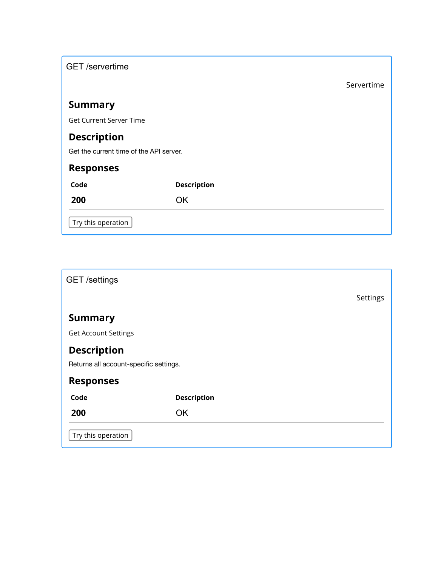| <b>GET</b> /servertime                  |                    |            |
|-----------------------------------------|--------------------|------------|
|                                         |                    | Servertime |
| <b>Summary</b>                          |                    |            |
| <b>Get Current Server Time</b>          |                    |            |
| <b>Description</b>                      |                    |            |
| Get the current time of the API server. |                    |            |
| <b>Responses</b>                        |                    |            |
| Code                                    | <b>Description</b> |            |
| 200                                     | <b>OK</b>          |            |
| Try this operation                      |                    |            |

| <b>GET</b> /settings                   |                    |          |
|----------------------------------------|--------------------|----------|
|                                        |                    | Settings |
| <b>Summary</b>                         |                    |          |
| <b>Get Account Settings</b>            |                    |          |
| <b>Description</b>                     |                    |          |
| Returns all account-specific settings. |                    |          |
| <b>Responses</b>                       |                    |          |
| Code                                   | <b>Description</b> |          |
| 200                                    | <b>OK</b>          |          |
| Try this operation                     |                    |          |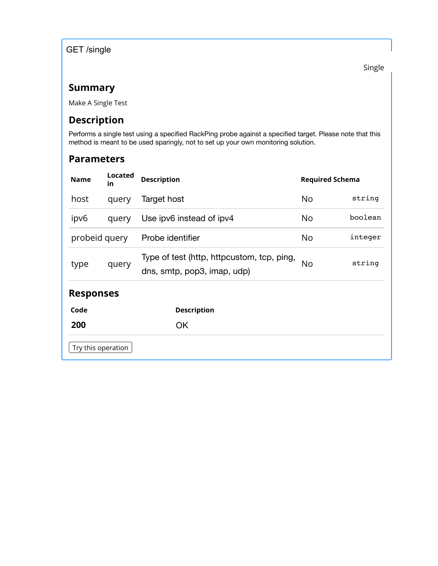GET /single

Single

### **Summary**

Make A Single Test

### **Description**

Performs a single test using a specified RackPing probe against a specified target. Please note that this method is meant to be used sparingly, not to set up your own monitoring solution.

| <b>Name</b>        | Located<br>in | <b>Description</b>                                                        | <b>Required Schema</b> |         |
|--------------------|---------------|---------------------------------------------------------------------------|------------------------|---------|
| host               | query         | Target host                                                               | No                     | string  |
| ipv6               | query         | Use ipv6 instead of ipv4                                                  | No                     | boolean |
| probeid query      |               | Probe identifier                                                          | No                     | integer |
| type               | query         | Type of test (http, httpcustom, tcp, ping,<br>dns, smtp, pop3, imap, udp) | No                     | string  |
| <b>Responses</b>   |               |                                                                           |                        |         |
| Code               |               | <b>Description</b>                                                        |                        |         |
| 200                |               | <b>OK</b>                                                                 |                        |         |
| Try this operation |               |                                                                           |                        |         |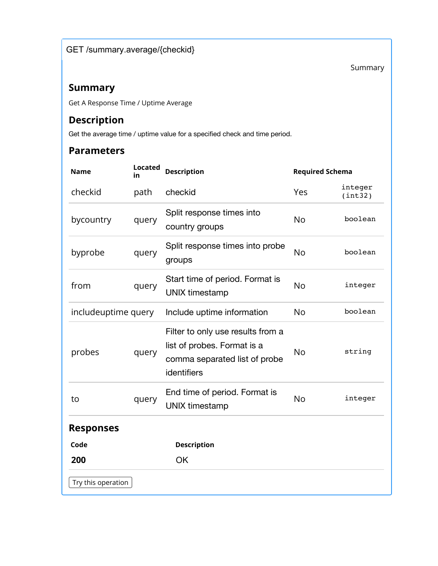Summary

### **Summary**

Get A Response Time / Uptime Average

# **Description**

Get the average time / uptime value for a specified check and time period.

| <b>Name</b>         | <b>Located</b><br>in | <b>Description</b>                                                                                               | <b>Required Schema</b> |                    |
|---------------------|----------------------|------------------------------------------------------------------------------------------------------------------|------------------------|--------------------|
| checkid             | path                 | checkid                                                                                                          | Yes                    | integer<br>(int32) |
| bycountry           | query                | Split response times into<br>country groups                                                                      | <b>No</b>              | boolean            |
| byprobe             | query                | Split response times into probe<br>groups                                                                        | <b>No</b>              | boolean            |
| from                | query                | Start time of period. Format is<br><b>UNIX timestamp</b>                                                         | <b>No</b>              | integer            |
| includeuptime query |                      | Include uptime information                                                                                       | <b>No</b>              | boolean            |
| probes              | query                | Filter to only use results from a<br>list of probes. Format is a<br>comma separated list of probe<br>identifiers | <b>No</b>              | string             |
| to                  | query                | End time of period. Format is<br><b>UNIX timestamp</b>                                                           | <b>No</b>              | integer            |
| <b>Responses</b>    |                      |                                                                                                                  |                        |                    |
| Code                |                      | <b>Description</b>                                                                                               |                        |                    |
| 200                 |                      | OK                                                                                                               |                        |                    |
| Try this operation  |                      |                                                                                                                  |                        |                    |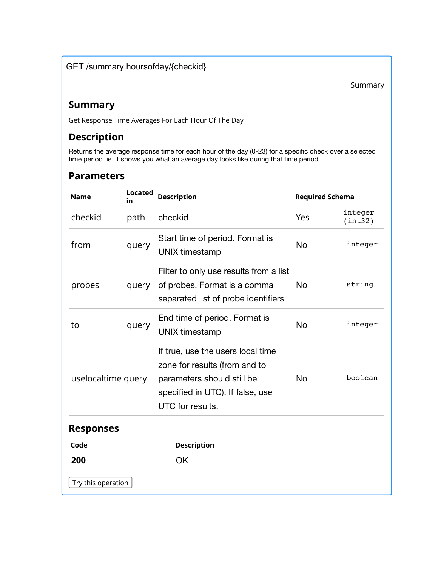#### GET /summary.hoursofday/{checkid}

Summary

#### **Summary**

Get Response Time Averages For Each Hour Of The Day

### **Description**

Returns the average response time for each hour of the day (0-23) for a specific check over a selected time period. ie. it shows you what an average day looks like during that time period.

| <b>Name</b>        | Located<br>in | <b>Description</b>                                                                                                                                       | <b>Required Schema</b> |                    |
|--------------------|---------------|----------------------------------------------------------------------------------------------------------------------------------------------------------|------------------------|--------------------|
| checkid            | path          | checkid                                                                                                                                                  | Yes                    | integer<br>(int32) |
| from               | query         | Start time of period. Format is<br><b>UNIX timestamp</b>                                                                                                 | <b>No</b>              | integer            |
| probes             | query         | Filter to only use results from a list<br>of probes. Format is a comma<br>separated list of probe identifiers                                            | No.                    | string             |
| to                 | query         | End time of period. Format is<br><b>UNIX timestamp</b>                                                                                                   | <b>No</b>              | integer            |
| uselocaltime query |               | If true, use the users local time<br>zone for results (from and to<br>parameters should still be<br>specified in UTC). If false, use<br>UTC for results. | <b>No</b>              | boolean            |
| <b>Responses</b>   |               |                                                                                                                                                          |                        |                    |
| Code               |               | <b>Description</b>                                                                                                                                       |                        |                    |
| 200                |               | OK                                                                                                                                                       |                        |                    |
| Try this operation |               |                                                                                                                                                          |                        |                    |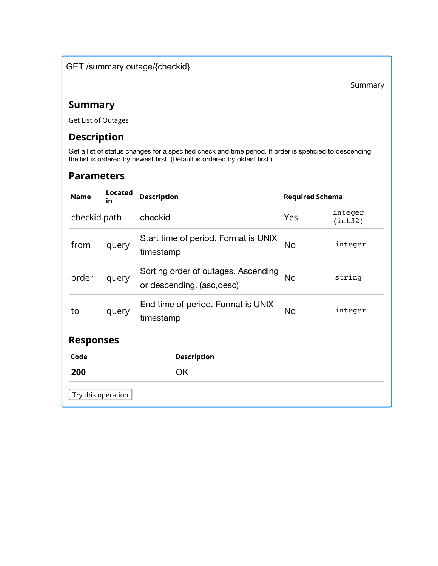#### GET /summary.outage/{checkid}

#### **Summary**

Get List of Outages

# **Description**

Get a list of status changes for a specified check and time period. If order is speficied to descending, the list is ordered by newest first. (Default is ordered by oldest first.)

| <b>Name</b>        | <b>Located</b><br>in | <b>Description</b>                                                | <b>Required Schema</b> |                    |
|--------------------|----------------------|-------------------------------------------------------------------|------------------------|--------------------|
| checkid path       |                      | checkid                                                           | Yes                    | integer<br>(int32) |
| from               | query                | Start time of period. Format is UNIX<br>timestamp                 | No                     | integer            |
| order              | query                | Sorting order of outages. Ascending<br>or descending. (asc, desc) | No                     | string             |
| to                 | query                | End time of period. Format is UNIX<br>timestamp                   | No                     | integer            |
| <b>Responses</b>   |                      |                                                                   |                        |                    |
| Code               |                      | <b>Description</b>                                                |                        |                    |
| 200                |                      | <b>OK</b>                                                         |                        |                    |
| Try this operation |                      |                                                                   |                        |                    |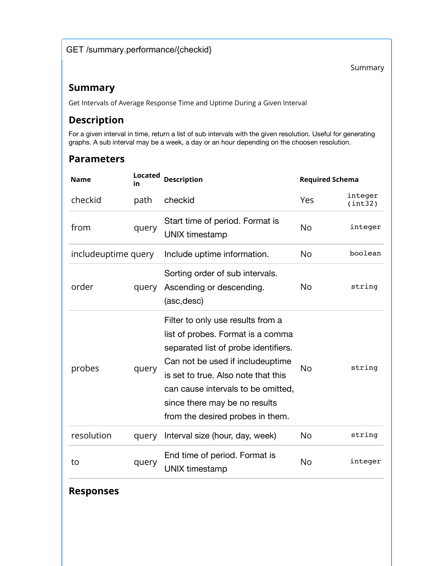#### GET /summary.performance/{checkid}

Summary

### **Summary**

Get Intervals of Average Response Time and Uptime During a Given Interval

### **Description**

For a given interval in time, return a list of sub intervals with the given resolution. Useful for generating graphs. A sub interval may be a week, a day or an hour depending on the choosen resolution.

#### **Parameters**

| <b>Name</b>         | <b>Located</b><br>in | <b>Description</b>                                                                                                                                                                                                                                                                                   | <b>Required Schema</b> |                    |
|---------------------|----------------------|------------------------------------------------------------------------------------------------------------------------------------------------------------------------------------------------------------------------------------------------------------------------------------------------------|------------------------|--------------------|
| checkid             | path                 | checkid                                                                                                                                                                                                                                                                                              | Yes                    | integer<br>(int32) |
| from                | query                | Start time of period. Format is<br><b>UNIX timestamp</b>                                                                                                                                                                                                                                             | No                     | integer            |
| includeuptime query |                      | Include uptime information.                                                                                                                                                                                                                                                                          | <b>No</b>              | boolean            |
| order               | query                | Sorting order of sub intervals.<br>Ascending or descending.<br>(asc, desc)                                                                                                                                                                                                                           | No                     | string             |
| probes              | query                | Filter to only use results from a<br>list of probes. Format is a comma<br>separated list of probe identifiers.<br>Can not be used if includeuptime<br>is set to true. Also note that this<br>can cause intervals to be omitted,<br>since there may be no results<br>from the desired probes in them. | <b>No</b>              | string             |
| resolution          | query                | Interval size (hour, day, week)                                                                                                                                                                                                                                                                      | No                     | string             |
| to                  | query                | End time of period. Format is<br><b>UNIX timestamp</b>                                                                                                                                                                                                                                               | <b>No</b>              | integer            |

#### **Responses**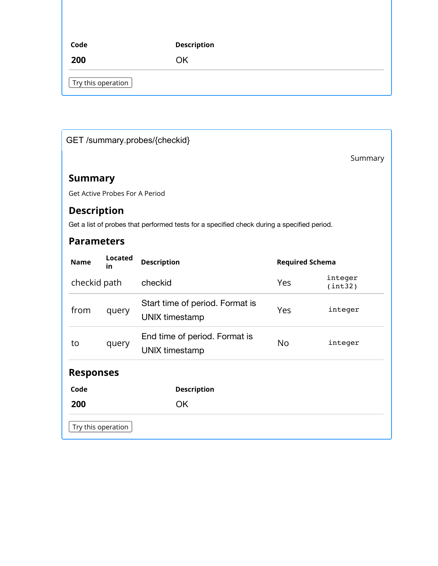| Code                               | <b>Description</b> |
|------------------------------------|--------------------|
| 200                                | ΟK                 |
| $\vert$ Try this operation $\vert$ |                    |

# GET /summary.probes/{checkid}

Summary

# **Summary**

Get Active Probes For A Period

### **Description**

Get a list of probes that performed tests for a specified check during a specified period.

| <b>Name</b>        | <b>Located</b><br>in | <b>Description</b>                                       | <b>Required Schema</b> |                    |
|--------------------|----------------------|----------------------------------------------------------|------------------------|--------------------|
| checkid path       |                      | checkid                                                  | Yes                    | integer<br>(int32) |
| from               | query                | Start time of period. Format is<br><b>UNIX timestamp</b> | Yes                    | integer            |
| to                 | query                | End time of period. Format is<br><b>UNIX timestamp</b>   | <b>No</b>              | integer            |
| <b>Responses</b>   |                      |                                                          |                        |                    |
| Code               |                      | <b>Description</b>                                       |                        |                    |
| 200                |                      | <b>OK</b>                                                |                        |                    |
| Try this operation |                      |                                                          |                        |                    |